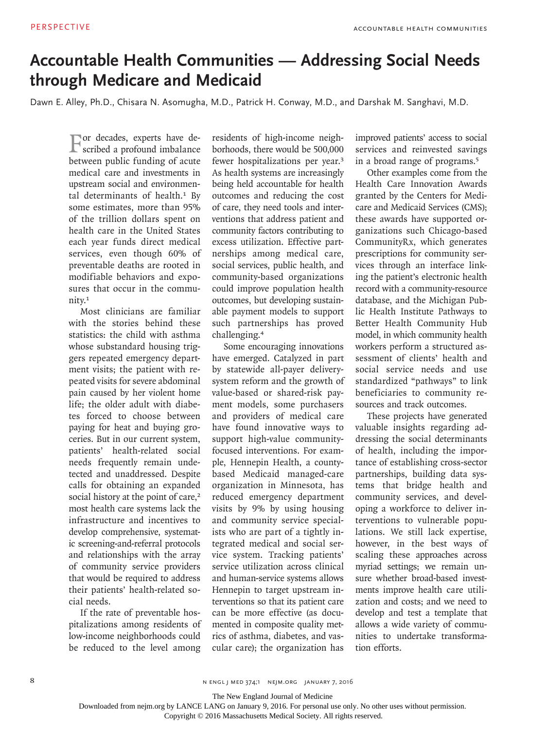## **Accountable Health Communities — Addressing Social Needs through Medicare and Medicaid**

Dawn E. Alley, Ph.D., Chisara N. Asomugha, M.D., Patrick H. Conway, M.D., and Darshak M. Sanghavi, M.D.

For decades, experts have de-scribed a profound imbalance between public funding of acute medical care and investments in upstream social and environmental determinants of health.<sup>1</sup> By some estimates, more than 95% of the trillion dollars spent on health care in the United States each year funds direct medical services, even though 60% of preventable deaths are rooted in modifiable behaviors and exposures that occur in the community.<sup>1</sup>

Most clinicians are familiar with the stories behind these statistics: the child with asthma whose substandard housing triggers repeated emergency department visits; the patient with repeated visits for severe abdominal pain caused by her violent home life; the older adult with diabetes forced to choose between paying for heat and buying groceries. But in our current system, patients' health-related social needs frequently remain undetected and unaddressed. Despite calls for obtaining an expanded social history at the point of care,<sup>2</sup> most health care systems lack the infrastructure and incentives to develop comprehensive, systematic screening-and-referral protocols and relationships with the array of community service providers that would be required to address their patients' health-related social needs.

If the rate of preventable hospitalizations among residents of low-income neighborhoods could be reduced to the level among

residents of high-income neighborhoods, there would be 500,000 fewer hospitalizations per year.<sup>3</sup> As health systems are increasingly being held accountable for health outcomes and reducing the cost of care, they need tools and interventions that address patient and community factors contributing to excess utilization. Effective partnerships among medical care, social services, public health, and community-based organizations could improve population health outcomes, but developing sustainable payment models to support such partnerships has proved challenging.<sup>4</sup>

Some encouraging innovations have emerged. Catalyzed in part by statewide all-payer deliverysystem reform and the growth of value-based or shared-risk payment models, some purchasers and providers of medical care have found innovative ways to support high-value communityfocused interventions. For example, Hennepin Health, a countybased Medicaid managed-care organization in Minnesota, has reduced emergency department visits by 9% by using housing and community service specialists who are part of a tightly integrated medical and social service system. Tracking patients' service utilization across clinical and human-service systems allows Hennepin to target upstream interventions so that its patient care can be more effective (as documented in composite quality metrics of asthma, diabetes, and vascular care); the organization has

improved patients' access to social services and reinvested savings in a broad range of programs.<sup>5</sup>

Other examples come from the Health Care Innovation Awards granted by the Centers for Medicare and Medicaid Services (CMS); these awards have supported organizations such Chicago-based CommunityRx, which generates prescriptions for community services through an interface linking the patient's electronic health record with a community-resource database, and the Michigan Public Health Institute Pathways to Better Health Community Hub model, in which community health workers perform a structured assessment of clients' health and social service needs and use standardized "pathways" to link beneficiaries to community resources and track outcomes.

These projects have generated valuable insights regarding addressing the social determinants of health, including the importance of establishing cross-sector partnerships, building data systems that bridge health and community services, and developing a workforce to deliver interventions to vulnerable populations. We still lack expertise, however, in the best ways of scaling these approaches across myriad settings; we remain unsure whether broad-based investments improve health care utilization and costs; and we need to develop and test a template that allows a wide variety of communities to undertake transformation efforts.

The New England Journal of Medicine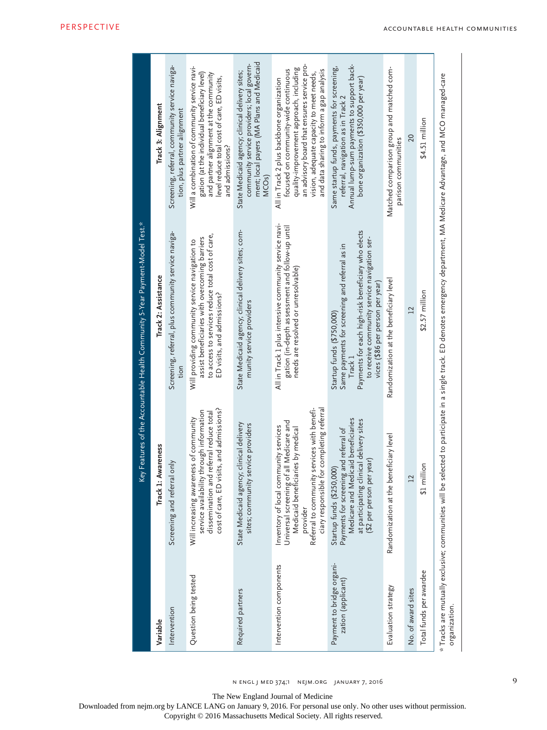n engl j med 374;1 nejm.org january 7, 2016

9

The New England Journal of Medicine

Downloaded from nejm.org by LANCE LANG on January 9, 2016. For personal use only. No other uses without permission.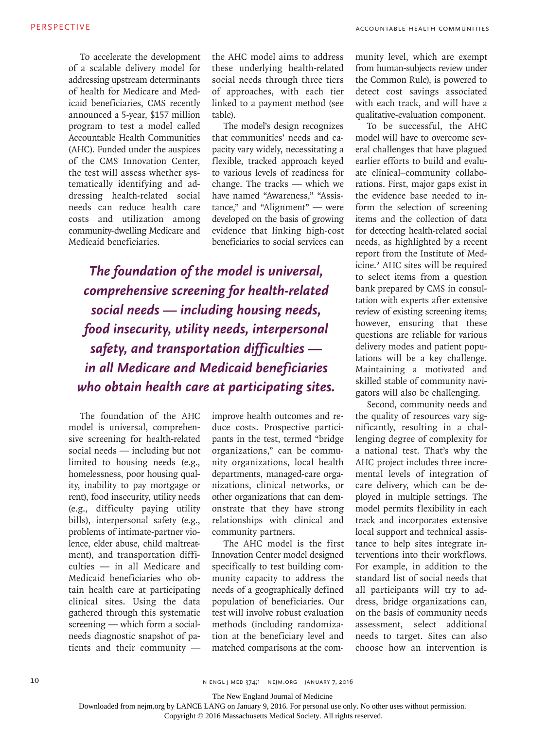To accelerate the development of a scalable delivery model for addressing upstream determinants of health for Medicare and Medicaid beneficiaries, CMS recently announced a 5-year, \$157 million program to test a model called Accountable Health Communities (AHC). Funded under the auspices of the CMS Innovation Center, the test will assess whether systematically identifying and addressing health-related social needs can reduce health care costs and utilization among community-dwelling Medicare and Medicaid beneficiaries.

the AHC model aims to address these underlying health-related social needs through three tiers of approaches, with each tier linked to a payment method (see table).

The model's design recognizes that communities' needs and capacity vary widely, necessitating a flexible, tracked approach keyed to various levels of readiness for change. The tracks — which we have named "Awareness," "Assistance," and "Alignment" — were developed on the basis of growing evidence that linking high-cost beneficiaries to social services can

*The foundation of the model is universal, comprehensive screening for health-related social needs — including housing needs, food insecurity, utility needs, interpersonal safety, and transportation difficulties in all Medicare and Medicaid beneficiaries who obtain health care at participating sites.*

The foundation of the AHC model is universal, comprehensive screening for health-related social needs — including but not limited to housing needs (e.g., homelessness, poor housing quality, inability to pay mortgage or rent), food insecurity, utility needs (e.g., difficulty paying utility bills), interpersonal safety (e.g., problems of intimate-partner violence, elder abuse, child maltreatment), and transportation difficulties — in all Medicare and Medicaid beneficiaries who obtain health care at participating clinical sites. Using the data gathered through this systematic screening — which form a socialneeds diagnostic snapshot of patients and their community —

improve health outcomes and reduce costs. Prospective participants in the test, termed "bridge organizations," can be community organizations, local health departments, managed-care organizations, clinical networks, or other organizations that can demonstrate that they have strong relationships with clinical and community partners.

The AHC model is the first Innovation Center model designed specifically to test building community capacity to address the needs of a geographically defined population of beneficiaries. Our test will involve robust evaluation methods (including randomization at the beneficiary level and matched comparisons at the community level, which are exempt from human-subjects review under the Common Rule), is powered to detect cost savings associated with each track, and will have a qualitative-evaluation component.

To be successful, the AHC model will have to overcome several challenges that have plagued earlier efforts to build and evaluate clinical–community collaborations. First, major gaps exist in the evidence base needed to inform the selection of screening items and the collection of data for detecting health-related social needs, as highlighted by a recent report from the Institute of Medicine.2 AHC sites will be required to select items from a question bank prepared by CMS in consultation with experts after extensive review of existing screening items; however, ensuring that these questions are reliable for various delivery modes and patient populations will be a key challenge. Maintaining a motivated and skilled stable of community navigators will also be challenging.

Second, community needs and the quality of resources vary significantly, resulting in a challenging degree of complexity for a national test. That's why the AHC project includes three incremental levels of integration of care delivery, which can be deployed in multiple settings. The model permits flexibility in each track and incorporates extensive local support and technical assistance to help sites integrate interventions into their workflows. For example, in addition to the standard list of social needs that all participants will try to address, bridge organizations can, on the basis of community needs assessment, select additional needs to target. Sites can also choose how an intervention is

10 N ENGL J MED 374;1 NEJM.ORG JANUARY 7, 2016

The New England Journal of Medicine

Downloaded from nejm.org by LANCE LANG on January 9, 2016. For personal use only. No other uses without permission.